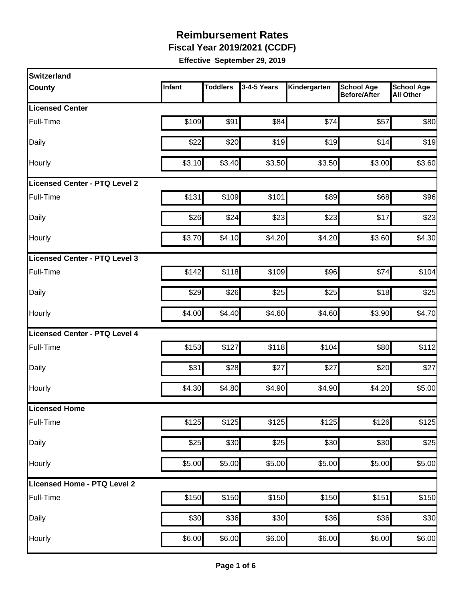**Fiscal Year 2019/2021 (CCDF)**

| <b>Switzerland</b>                   |        |                 |             |              |                                          |                                       |
|--------------------------------------|--------|-----------------|-------------|--------------|------------------------------------------|---------------------------------------|
| <b>County</b>                        | Infant | <b>Toddlers</b> | 3-4-5 Years | Kindergarten | <b>School Age</b><br><b>Before/After</b> | <b>School Age</b><br><b>All Other</b> |
| <b>Licensed Center</b>               |        |                 |             |              |                                          |                                       |
| Full-Time                            | \$109  | \$91            | \$84        | \$74         | \$57                                     | \$80                                  |
| Daily                                | \$22   | \$20            | \$19        | \$19         | \$14                                     | \$19                                  |
| Hourly                               | \$3.10 | \$3.40          | \$3.50      | \$3.50       | \$3.00                                   | \$3.60                                |
| <b>Licensed Center - PTQ Level 2</b> |        |                 |             |              |                                          |                                       |
| Full-Time                            | \$131  | \$109           | \$101       | \$89         | \$68                                     | \$96                                  |
| Daily                                | \$26   | \$24            | \$23        | \$23         | \$17                                     | \$23                                  |
| Hourly                               | \$3.70 | \$4.10          | \$4.20      | \$4.20       | \$3.60                                   | \$4.30                                |
| Licensed Center - PTQ Level 3        |        |                 |             |              |                                          |                                       |
| Full-Time                            | \$142  | \$118           | \$109       | \$96         | \$74                                     | \$104                                 |
| Daily                                | \$29   | \$26            | \$25        | \$25         | \$18                                     | \$25                                  |
| Hourly                               | \$4.00 | \$4.40          | \$4.60      | \$4.60       | \$3.90                                   | \$4.70                                |
| Licensed Center - PTQ Level 4        |        |                 |             |              |                                          |                                       |
| Full-Time                            | \$153  | \$127           | \$118       | \$104        | \$80                                     | \$112                                 |
| Daily                                | \$31   | \$28            | \$27        | \$27         | \$20                                     | \$27                                  |
| Hourly                               | \$4.30 | \$4.80          | \$4.90      | \$4.90       | \$4.20                                   | \$5.00                                |
| <b>Licensed Home</b>                 |        |                 |             |              |                                          |                                       |
| Full-Time                            | \$125  | \$125           | \$125       | \$125        | \$126                                    | \$125                                 |
| Daily                                | \$25   | \$30            | \$25        | \$30         | \$30                                     | \$25                                  |
| Hourly                               | \$5.00 | \$5.00          | \$5.00      | \$5.00       | \$5.00                                   | \$5.00                                |
| Licensed Home - PTQ Level 2          |        |                 |             |              |                                          |                                       |
| Full-Time                            | \$150  | \$150           | \$150       | \$150        | \$151                                    | \$150                                 |
| Daily                                | \$30   | \$36            | \$30        | \$36         | \$36                                     | \$30                                  |
| Hourly                               | \$6.00 | \$6.00          | \$6.00      | \$6.00       | \$6.00                                   | \$6.00                                |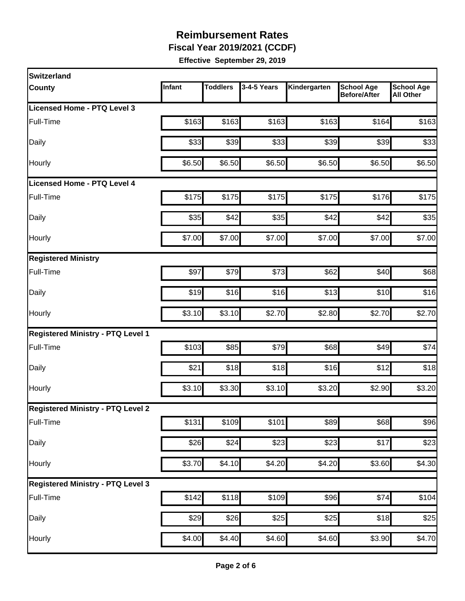**Fiscal Year 2019/2021 (CCDF)**

| <b>Switzerland</b>                       |        |                 |             |              |                                          |                                       |
|------------------------------------------|--------|-----------------|-------------|--------------|------------------------------------------|---------------------------------------|
| <b>County</b>                            | Infant | <b>Toddlers</b> | 3-4-5 Years | Kindergarten | <b>School Age</b><br><b>Before/After</b> | <b>School Age</b><br><b>All Other</b> |
| Licensed Home - PTQ Level 3              |        |                 |             |              |                                          |                                       |
| Full-Time                                | \$163  | \$163           | \$163       | \$163        | \$164                                    | \$163                                 |
| Daily                                    | \$33   | \$39            | \$33        | \$39         | \$39                                     | \$33                                  |
| Hourly                                   | \$6.50 | \$6.50          | \$6.50      | \$6.50       | \$6.50                                   | \$6.50                                |
| <b>Licensed Home - PTQ Level 4</b>       |        |                 |             |              |                                          |                                       |
| Full-Time                                | \$175  | \$175           | \$175       | \$175        | \$176                                    | \$175                                 |
| Daily                                    | \$35   | \$42            | \$35        | \$42         | \$42                                     | \$35                                  |
| Hourly                                   | \$7.00 | \$7.00          | \$7.00      | \$7.00       | \$7.00                                   | \$7.00                                |
| <b>Registered Ministry</b>               |        |                 |             |              |                                          |                                       |
| Full-Time                                | \$97   | \$79            | \$73        | \$62         | \$40                                     | \$68                                  |
| Daily                                    | \$19   | \$16            | \$16        | \$13         | \$10                                     | \$16                                  |
| Hourly                                   | \$3.10 | \$3.10          | \$2.70      | \$2.80       | \$2.70                                   | \$2.70                                |
| <b>Registered Ministry - PTQ Level 1</b> |        |                 |             |              |                                          |                                       |
| Full-Time                                | \$103  | \$85            | \$79        | \$68         | \$49                                     | \$74                                  |
| Daily                                    | \$21   | \$18            | \$18        | \$16         | \$12                                     | \$18                                  |
| Hourly                                   | \$3.10 | \$3.30          | \$3.10      | \$3.20       | \$2.90                                   | \$3.20                                |
| <b>Registered Ministry - PTQ Level 2</b> |        |                 |             |              |                                          |                                       |
| Full-Time                                | \$131  | \$109           | \$101       | \$89         | \$68                                     | \$96                                  |
| <b>Daily</b>                             | \$26   | \$24            | \$23        | \$23         | \$17                                     | \$23                                  |
| Hourly                                   | \$3.70 | \$4.10          | \$4.20      | \$4.20       | \$3.60                                   | \$4.30                                |
| <b>Registered Ministry - PTQ Level 3</b> |        |                 |             |              |                                          |                                       |
| Full-Time                                | \$142  | \$118           | \$109       | \$96         | \$74                                     | \$104                                 |
| Daily                                    | \$29   | \$26            | \$25        | \$25         | \$18                                     | \$25                                  |
| Hourly                                   | \$4.00 | \$4.40          | \$4.60      | \$4.60       | \$3.90                                   | \$4.70                                |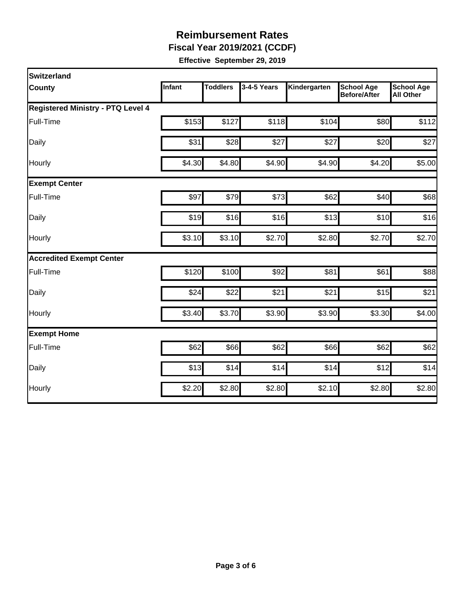**Fiscal Year 2019/2021 (CCDF)**

| Switzerland                              |        |                 |             |              |                                          |                                       |
|------------------------------------------|--------|-----------------|-------------|--------------|------------------------------------------|---------------------------------------|
| <b>County</b>                            | Infant | <b>Toddlers</b> | 3-4-5 Years | Kindergarten | <b>School Age</b><br><b>Before/After</b> | <b>School Age</b><br><b>All Other</b> |
| <b>Registered Ministry - PTQ Level 4</b> |        |                 |             |              |                                          |                                       |
| Full-Time                                | \$153  | \$127           | \$118       | \$104        | \$80                                     | \$112                                 |
| Daily                                    | \$31   | \$28            | \$27        | \$27         | \$20                                     | \$27                                  |
| Hourly                                   | \$4.30 | \$4.80          | \$4.90      | \$4.90       | \$4.20                                   | \$5.00                                |
| <b>Exempt Center</b>                     |        |                 |             |              |                                          |                                       |
| Full-Time                                | \$97   | \$79            | \$73        | \$62         | \$40                                     | \$68                                  |
| Daily                                    | \$19   | \$16            | \$16        | \$13         | \$10                                     | \$16                                  |
| Hourly                                   | \$3.10 | \$3.10          | \$2.70      | \$2.80       | \$2.70                                   | \$2.70                                |
| <b>Accredited Exempt Center</b>          |        |                 |             |              |                                          |                                       |
| Full-Time                                | \$120  | \$100           | \$92        | \$81         | \$61                                     | \$88                                  |
| Daily                                    | \$24   | \$22            | \$21        | \$21         | \$15                                     | \$21                                  |
| Hourly                                   | \$3.40 | \$3.70          | \$3.90      | \$3.90       | \$3.30                                   | \$4.00                                |
| <b>Exempt Home</b>                       |        |                 |             |              |                                          |                                       |
| Full-Time                                | \$62   | \$66            | \$62        | \$66         | \$62                                     | \$62                                  |
| Daily                                    | \$13   | \$14            | \$14        | \$14         | \$12                                     | \$14                                  |
| Hourly                                   | \$2.20 | \$2.80          | \$2.80      | \$2.10       | \$2.80                                   | \$2.80                                |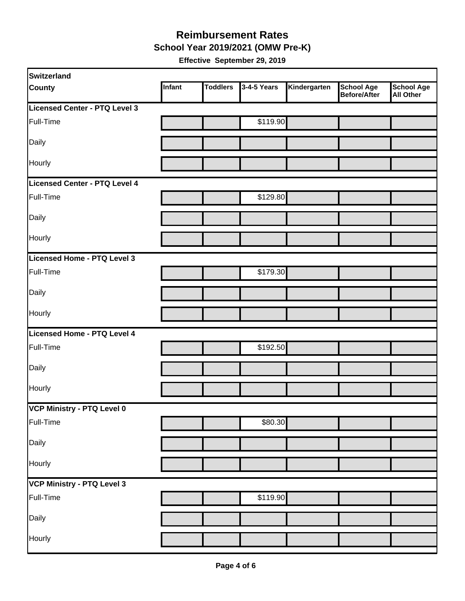#### **School Year 2019/2021 (OMW Pre-K) Reimbursement Rates**

| Switzerland                   |        |                 |             |              |                                   |                                       |
|-------------------------------|--------|-----------------|-------------|--------------|-----------------------------------|---------------------------------------|
| <b>County</b>                 | Infant | <b>Toddlers</b> | 3-4-5 Years | Kindergarten | <b>School Age</b><br>Before/After | <b>School Age</b><br><b>All Other</b> |
| Licensed Center - PTQ Level 3 |        |                 |             |              |                                   |                                       |
| Full-Time                     |        |                 | \$119.90    |              |                                   |                                       |
| Daily                         |        |                 |             |              |                                   |                                       |
| Hourly                        |        |                 |             |              |                                   |                                       |
| Licensed Center - PTQ Level 4 |        |                 |             |              |                                   |                                       |
| Full-Time                     |        |                 | \$129.80    |              |                                   |                                       |
| Daily                         |        |                 |             |              |                                   |                                       |
| Hourly                        |        |                 |             |              |                                   |                                       |
| Licensed Home - PTQ Level 3   |        |                 |             |              |                                   |                                       |
| Full-Time                     |        |                 | \$179.30    |              |                                   |                                       |
| Daily                         |        |                 |             |              |                                   |                                       |
| Hourly                        |        |                 |             |              |                                   |                                       |
| Licensed Home - PTQ Level 4   |        |                 |             |              |                                   |                                       |
| Full-Time                     |        |                 | \$192.50    |              |                                   |                                       |
| Daily                         |        |                 |             |              |                                   |                                       |
| Hourly                        |        |                 |             |              |                                   |                                       |
| VCP Ministry - PTQ Level 0    |        |                 |             |              |                                   |                                       |
| Full-Time                     |        |                 | \$80.30     |              |                                   |                                       |
| Daily                         |        |                 |             |              |                                   |                                       |
| Hourly                        |        |                 |             |              |                                   |                                       |
| VCP Ministry - PTQ Level 3    |        |                 |             |              |                                   |                                       |
| Full-Time                     |        |                 | \$119.90    |              |                                   |                                       |
| Daily                         |        |                 |             |              |                                   |                                       |
| Hourly                        |        |                 |             |              |                                   |                                       |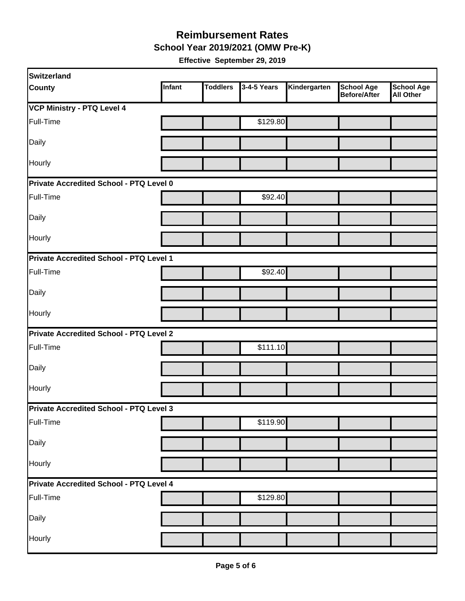**School Year 2019/2021 (OMW Pre-K)**

| Switzerland                                    |        |                 |             |              |                                   |                                       |  |  |
|------------------------------------------------|--------|-----------------|-------------|--------------|-----------------------------------|---------------------------------------|--|--|
| <b>County</b>                                  | Infant | <b>Toddlers</b> | 3-4-5 Years | Kindergarten | <b>School Age</b><br>Before/After | <b>School Age</b><br><b>All Other</b> |  |  |
| <b>VCP Ministry - PTQ Level 4</b>              |        |                 |             |              |                                   |                                       |  |  |
| Full-Time                                      |        |                 | \$129.80    |              |                                   |                                       |  |  |
| Daily                                          |        |                 |             |              |                                   |                                       |  |  |
| Hourly                                         |        |                 |             |              |                                   |                                       |  |  |
| <b>Private Accredited School - PTQ Level 0</b> |        |                 |             |              |                                   |                                       |  |  |
| Full-Time                                      |        |                 | \$92.40     |              |                                   |                                       |  |  |
| Daily                                          |        |                 |             |              |                                   |                                       |  |  |
| Hourly                                         |        |                 |             |              |                                   |                                       |  |  |
| Private Accredited School - PTQ Level 1        |        |                 |             |              |                                   |                                       |  |  |
| Full-Time                                      |        |                 | \$92.40     |              |                                   |                                       |  |  |
| Daily                                          |        |                 |             |              |                                   |                                       |  |  |
| Hourly                                         |        |                 |             |              |                                   |                                       |  |  |
| Private Accredited School - PTQ Level 2        |        |                 |             |              |                                   |                                       |  |  |
| Full-Time                                      |        |                 | \$111.10    |              |                                   |                                       |  |  |
| Daily                                          |        |                 |             |              |                                   |                                       |  |  |
| Hourly                                         |        |                 |             |              |                                   |                                       |  |  |
| <b>Private Accredited School - PTQ Level 3</b> |        |                 |             |              |                                   |                                       |  |  |
| Full-Time                                      |        |                 | \$119.90    |              |                                   |                                       |  |  |
| Daily                                          |        |                 |             |              |                                   |                                       |  |  |
| Hourly                                         |        |                 |             |              |                                   |                                       |  |  |
| Private Accredited School - PTQ Level 4        |        |                 |             |              |                                   |                                       |  |  |
| Full-Time                                      |        |                 | \$129.80    |              |                                   |                                       |  |  |
| Daily                                          |        |                 |             |              |                                   |                                       |  |  |
| Hourly                                         |        |                 |             |              |                                   |                                       |  |  |